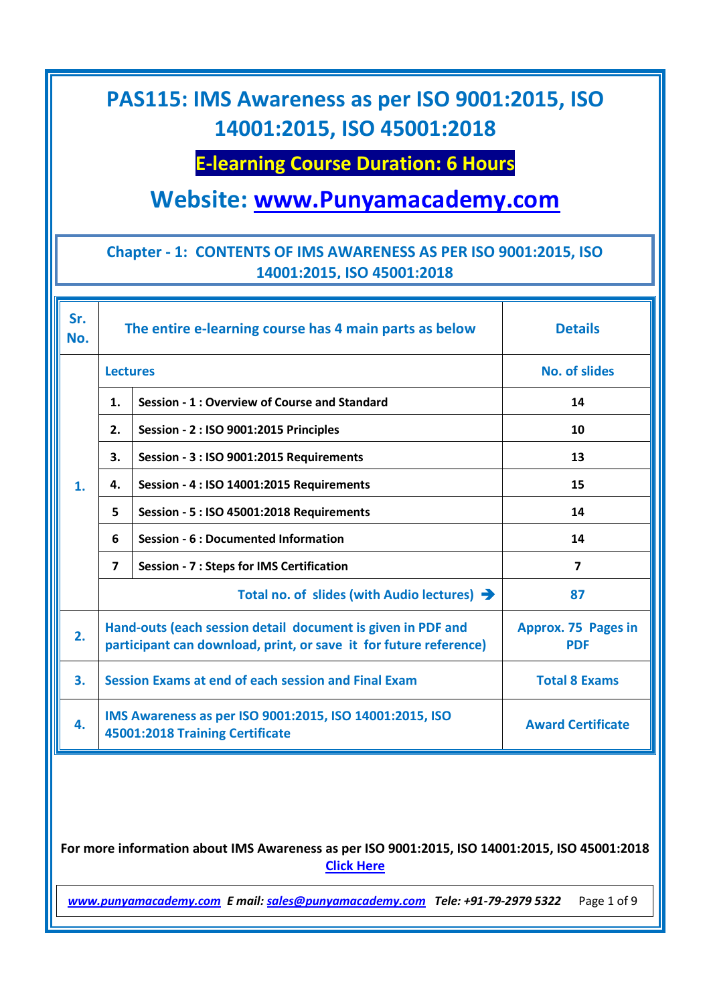## **E-learning Course Duration: 6 Hours**

## **Website: [www.Punyamacademy.com](http://www.punyamacademy.com/)**

#### **Chapter - 1: CONTENTS OF IMS AWARENESS AS PER ISO 9001:2015, ISO 14001:2015, ISO 45001:2018**

| Sr.<br>No.     | The entire e-learning course has 4 main parts as below                                                                           |                                                 | <b>Details</b>                    |
|----------------|----------------------------------------------------------------------------------------------------------------------------------|-------------------------------------------------|-----------------------------------|
| $\mathbf{1}$ . | <b>Lectures</b>                                                                                                                  |                                                 | <b>No. of slides</b>              |
|                | 1.                                                                                                                               | Session - 1 : Overview of Course and Standard   | 14                                |
|                | 2.                                                                                                                               | Session - 2 : ISO 9001:2015 Principles          | 10                                |
|                | 3.                                                                                                                               | Session - 3 : ISO 9001:2015 Requirements        | 13                                |
|                | 4.                                                                                                                               | Session - 4 : ISO 14001:2015 Requirements       | 15                                |
|                | 5                                                                                                                                | Session - 5 : ISO 45001:2018 Requirements       | 14                                |
|                | 6                                                                                                                                | <b>Session - 6 : Documented Information</b>     | 14                                |
|                | $\overline{7}$                                                                                                                   | <b>Session - 7: Steps for IMS Certification</b> | $\overline{\mathbf{z}}$           |
|                | Total no. of slides (with Audio lectures) $\rightarrow$                                                                          |                                                 | 87                                |
| 2.             | Hand-outs (each session detail document is given in PDF and<br>participant can download, print, or save it for future reference) |                                                 | Approx. 75 Pages in<br><b>PDF</b> |
| 3.             | Session Exams at end of each session and Final Exam                                                                              |                                                 | <b>Total 8 Exams</b>              |
| 4.             | IMS Awareness as per ISO 9001:2015, ISO 14001:2015, ISO<br>45001:2018 Training Certificate                                       |                                                 | <b>Award Certificate</b>          |

#### **For more information about IMS Awareness as per ISO 9001:2015, ISO 14001:2015, ISO 45001:2018 [Click Here](https://www.punyamacademy.com/course/hse/ims-awareness-training-online)**

*[www.punyamacademy.com](https://www.punyamacademy.com/) E mail[: sales@punyamacademy.com](mailto:sales@punyamacademy.com) Tele: +91-79-2979 5322* Page 1 of 9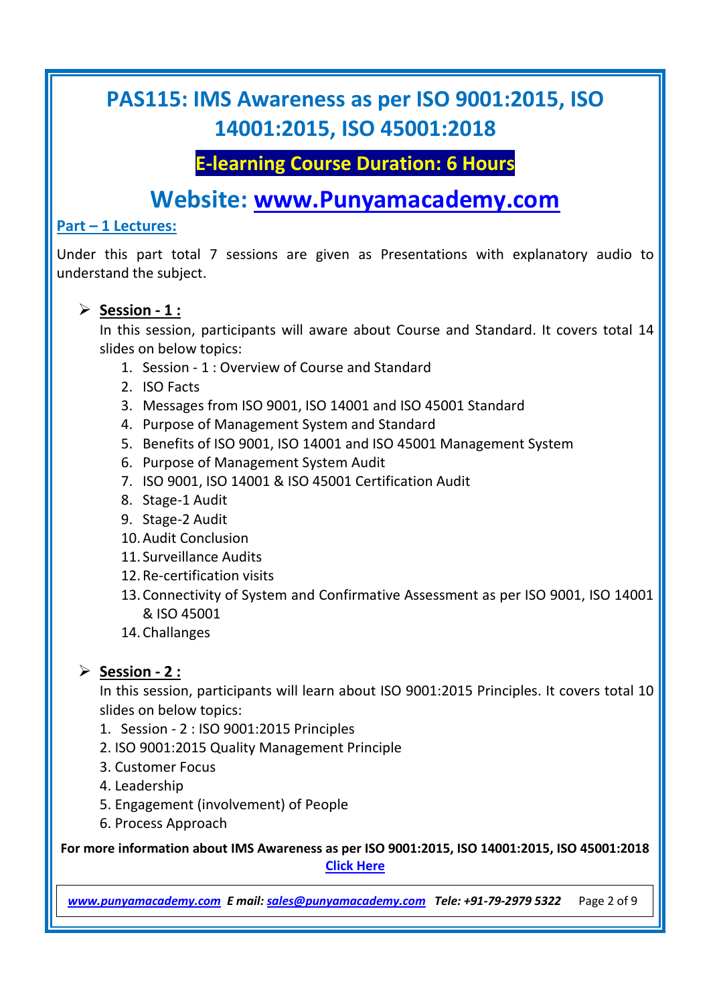### **E-learning Course Duration: 6 Hours**

### **Website: [www.Punyamacademy.com](http://www.punyamacademy.com/)**

#### **Part – 1 Lectures:**

Under this part total 7 sessions are given as Presentations with explanatory audio to understand the subject.

#### **Session - 1 :**

In this session, participants will aware about Course and Standard. It covers total 14 slides on below topics:

- 1. Session 1 : Overview of Course and Standard
- 2. ISO Facts
- 3. Messages from ISO 9001, ISO 14001 and ISO 45001 Standard
- 4. Purpose of Management System and Standard
- 5. Benefits of ISO 9001, ISO 14001 and ISO 45001 Management System
- 6. Purpose of Management System Audit
- 7. ISO 9001, ISO 14001 & ISO 45001 Certification Audit
- 8. Stage-1 Audit
- 9. Stage-2 Audit
- 10.Audit Conclusion
- 11. Surveillance Audits
- 12.Re-certification visits
- 13.Connectivity of System and Confirmative Assessment as per ISO 9001, ISO 14001 & ISO 45001
- 14.Challanges

#### **Session - 2 :**

In this session, participants will learn about ISO 9001:2015 Principles. It covers total 10 slides on below topics:

- 1. Session 2 : ISO 9001:2015 Principles
- 2. ISO 9001:2015 Quality Management Principle
- 3. Customer Focus
- 4. Leadership
- 5. Engagement (involvement) of People
- 6. Process Approach

**For more information about IMS Awareness as per ISO 9001:2015, ISO 14001:2015, ISO 45001:2018 [Click Here](https://www.punyamacademy.com/course/hse/ims-awareness-training-online)**

*[www.punyamacademy.com](https://www.punyamacademy.com/) E mail[: sales@punyamacademy.com](mailto:sales@punyamacademy.com) Tele: +91-79-2979 5322* Page 2 of 9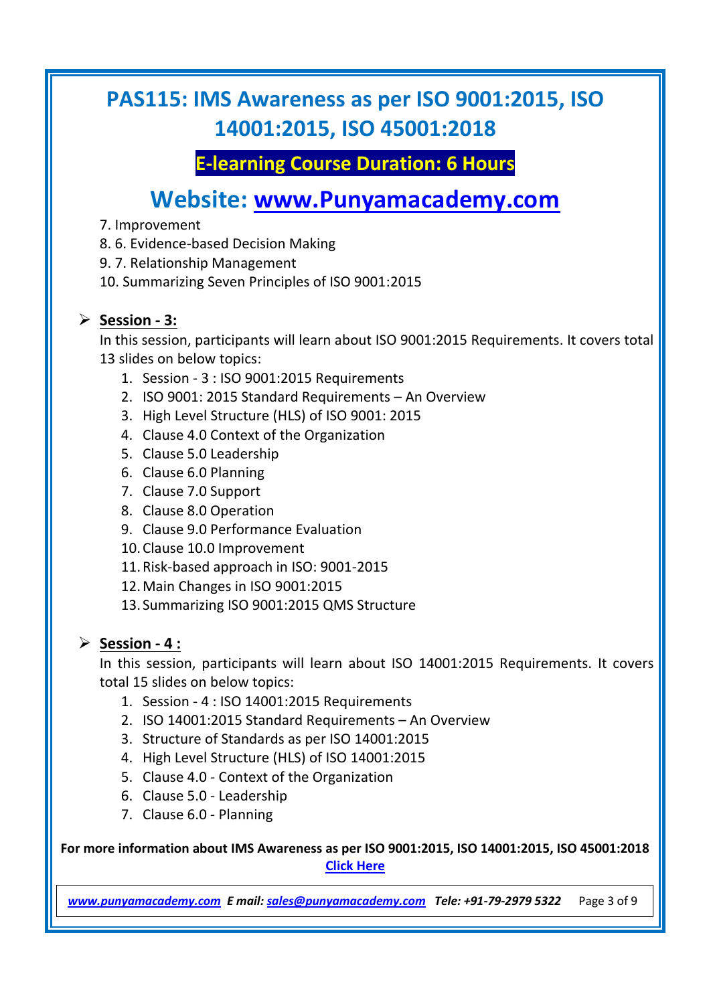### **E-learning Course Duration: 6 Hours**

## **Website: [www.Punyamacademy.com](http://www.punyamacademy.com/)**

- 7. Improvement
- 8. 6. Evidence-based Decision Making
- 9. 7. Relationship Management
- 10. Summarizing Seven Principles of ISO 9001:2015

#### **Session - 3:**

In this session, participants will learn about ISO 9001:2015 Requirements. It covers total 13 slides on below topics:

- 1. Session 3 : ISO 9001:2015 Requirements
- 2. ISO 9001: 2015 Standard Requirements An Overview
- 3. High Level Structure (HLS) of ISO 9001: 2015
- 4. Clause 4.0 Context of the Organization
- 5. Clause 5.0 Leadership
- 6. Clause 6.0 Planning
- 7. Clause 7.0 Support
- 8. Clause 8.0 Operation
- 9. Clause 9.0 Performance Evaluation
- 10.Clause 10.0 Improvement
- 11.Risk-based approach in ISO: 9001-2015
- 12.Main Changes in ISO 9001:2015
- 13. Summarizing ISO 9001:2015 QMS Structure

#### **Session - 4 :**

In this session, participants will learn about ISO 14001:2015 Requirements. It covers total 15 slides on below topics:

- 1. Session 4 : ISO 14001:2015 Requirements
- 2. ISO 14001:2015 Standard Requirements An Overview
- 3. Structure of Standards as per ISO 14001:2015
- 4. High Level Structure (HLS) of ISO 14001:2015
- 5. Clause 4.0 Context of the Organization
- 6. Clause 5.0 Leadership
- 7. Clause 6.0 Planning

#### **For more information about IMS Awareness as per ISO 9001:2015, ISO 14001:2015, ISO 45001:2018 [Click Here](https://www.punyamacademy.com/course/hse/ims-awareness-training-online)**

*[www.punyamacademy.com](https://www.punyamacademy.com/) E mail[: sales@punyamacademy.com](mailto:sales@punyamacademy.com) Tele: +91-79-2979 5322* Page 3 of 9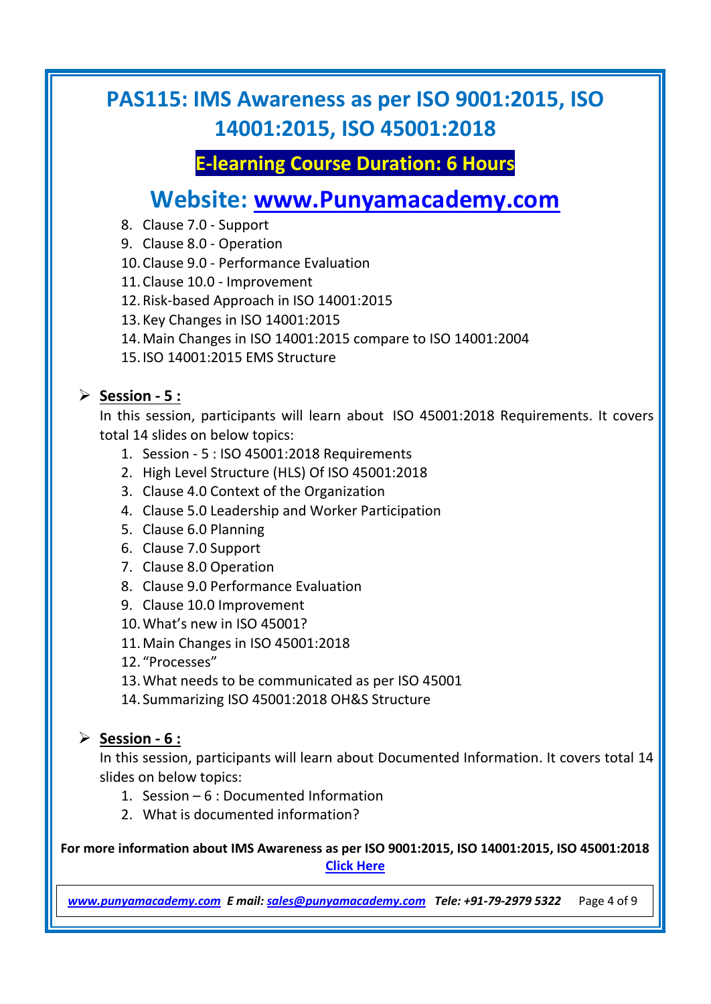### **E-learning Course Duration: 6 Hours**

## **Website: [www.Punyamacademy.com](http://www.punyamacademy.com/)**

- 8. Clause 7.0 Support
- 9. Clause 8.0 Operation
- 10.Clause 9.0 Performance Evaluation
- 11.Clause 10.0 Improvement
- 12.Risk-based Approach in ISO 14001:2015
- 13.Key Changes in ISO 14001:2015
- 14.Main Changes in ISO 14001:2015 compare to ISO 14001:2004
- 15.ISO 14001:2015 EMS Structure

#### **Session - 5 :**

In this session, participants will learn about ISO 45001:2018 Requirements. It covers total 14 slides on below topics:

- 1. Session 5 : ISO 45001:2018 Requirements
- 2. High Level Structure (HLS) Of ISO 45001:2018
- 3. Clause 4.0 Context of the Organization
- 4. Clause 5.0 Leadership and Worker Participation
- 5. Clause 6.0 Planning
- 6. Clause 7.0 Support
- 7. Clause 8.0 Operation
- 8. Clause 9.0 Performance Evaluation
- 9. Clause 10.0 Improvement
- 10.What's new in ISO 45001?
- 11.Main Changes in ISO 45001:2018
- 12. "Processes"
- 13.What needs to be communicated as per ISO 45001
- 14. Summarizing ISO 45001:2018 OH&S Structure

#### **Session - 6 :**

In this session, participants will learn about Documented Information. It covers total 14 slides on below topics:

- 1. Session 6 : Documented Information
- 2. What is documented information?

#### **For more information about IMS Awareness as per ISO 9001:2015, ISO 14001:2015, ISO 45001:2018 [Click Here](https://www.punyamacademy.com/course/hse/ims-awareness-training-online)**

*[www.punyamacademy.com](https://www.punyamacademy.com/) E mail[: sales@punyamacademy.com](mailto:sales@punyamacademy.com) Tele: +91-79-2979 5322* Page 4 of 9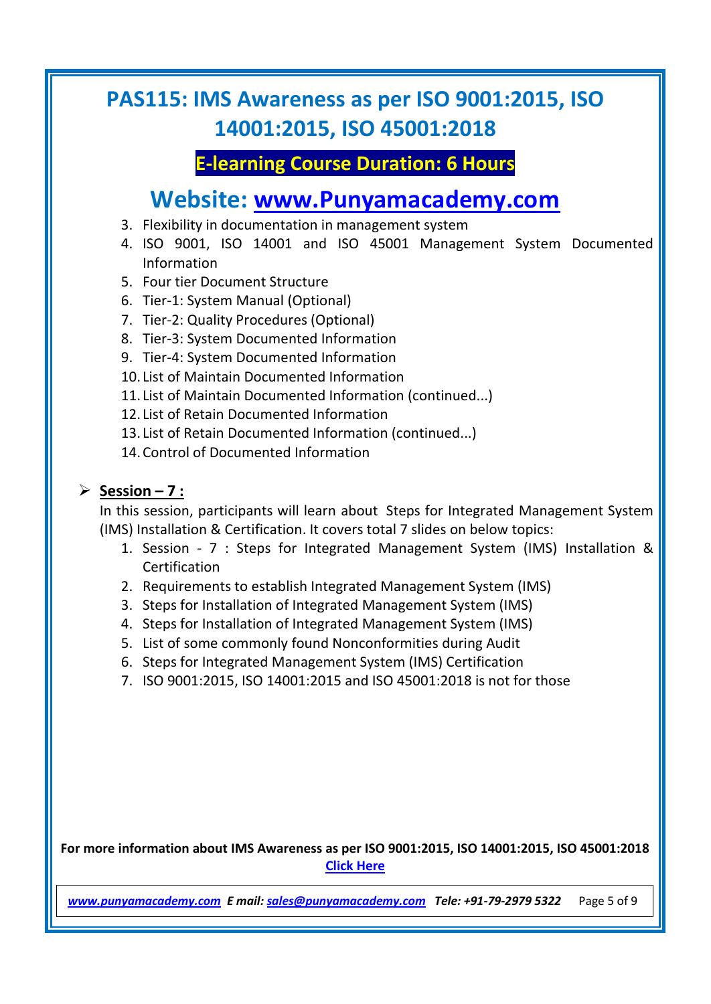### **E-learning Course Duration: 6 Hours**

## **Website: [www.Punyamacademy.com](http://www.punyamacademy.com/)**

- 3. Flexibility in documentation in management system
- 4. ISO 9001, ISO 14001 and ISO 45001 Management System Documented Information
- 5. Four tier Document Structure
- 6. Tier-1: System Manual (Optional)
- 7. Tier-2: Quality Procedures (Optional)
- 8. Tier-3: System Documented Information
- 9. Tier-4: System Documented Information
- 10. List of Maintain Documented Information
- 11. List of Maintain Documented Information (continued...)

12. List of Retain Documented Information

- 13. List of Retain Documented Information (continued...)
- 14.Control of Documented Information

#### **Session – 7 :**

In this session, participants will learn about Steps for Integrated Management System (IMS) Installation & Certification. It covers total 7 slides on below topics:

- 1. Session 7 : Steps for Integrated Management System (IMS) Installation & Certification
- 2. Requirements to establish Integrated Management System (IMS)
- 3. Steps for Installation of Integrated Management System (IMS)
- 4. Steps for Installation of Integrated Management System (IMS)
- 5. List of some commonly found Nonconformities during Audit
- 6. Steps for Integrated Management System (IMS) Certification
- 7. ISO 9001:2015, ISO 14001:2015 and ISO 45001:2018 is not for those

#### **For more information about IMS Awareness as per ISO 9001:2015, ISO 14001:2015, ISO 45001:2018 [Click Here](https://www.punyamacademy.com/course/hse/ims-awareness-training-online)**

*[www.punyamacademy.com](https://www.punyamacademy.com/) E mail[: sales@punyamacademy.com](mailto:sales@punyamacademy.com) Tele: +91-79-2979 5322* Page 5 of 9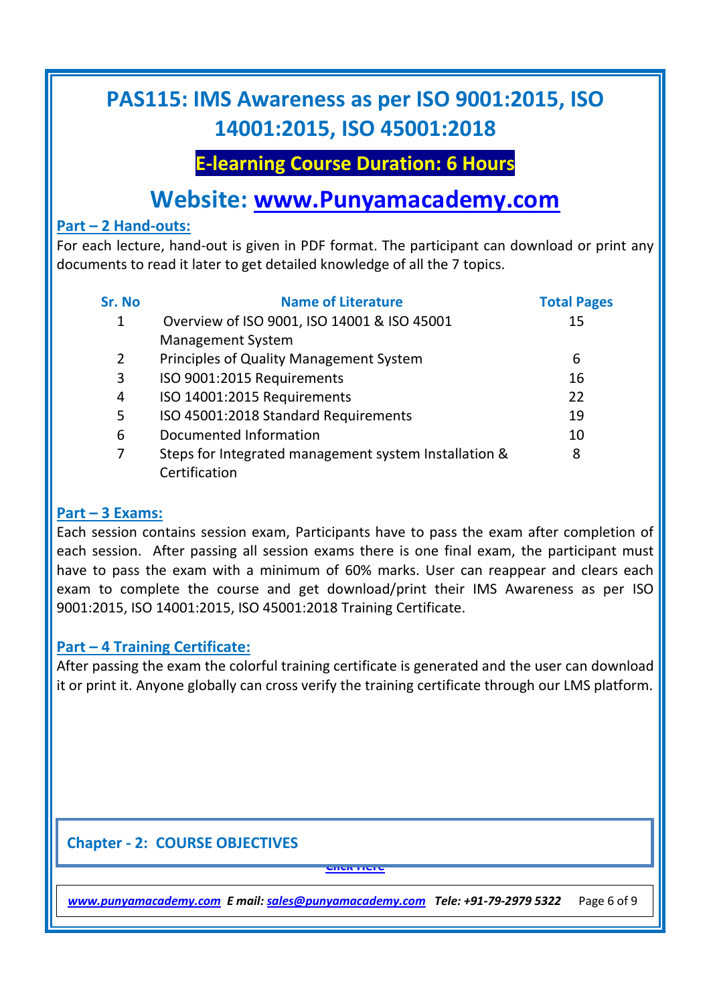### **E-learning Course Duration: 6 Hours**

## **Website: [www.Punyamacademy.com](http://www.punyamacademy.com/)**

#### **Part – 2 Hand-outs:**

For each lecture, hand-out is given in PDF format. The participant can download or print any documents to read it later to get detailed knowledge of all the 7 topics.

| Sr. No | <b>Name of Literature</b>                             | <b>Total Pages</b> |
|--------|-------------------------------------------------------|--------------------|
| 1      | Overview of ISO 9001, ISO 14001 & ISO 45001           | 15                 |
|        | <b>Management System</b>                              |                    |
| 2      | Principles of Quality Management System               | 6                  |
| 3      | ISO 9001:2015 Requirements                            | 16                 |
| 4      | ISO 14001:2015 Requirements                           | 22                 |
| 5      | ISO 45001:2018 Standard Requirements                  | 19                 |
| 6      | Documented Information                                | 10                 |
|        | Steps for Integrated management system Installation & | 8                  |
|        | Certification                                         |                    |

#### **Part – 3 Exams:**

Each session contains session exam, Participants have to pass the exam after completion of each session. After passing all session exams there is one final exam, the participant must have to pass the exam with a minimum of 60% marks. User can reappear and clears each exam to complete the course and get download/print their IMS Awareness as per ISO 9001:2015, ISO 14001:2015, ISO 45001:2018 Training Certificate.

#### **Part – 4 Training Certificate:**

After passing the exam the colorful training certificate is generated and the user can download it or print it. Anyone globally can cross verify the training certificate through our LMS platform.

### **For More 2: COURSE OBJECTIVES COURSE ARGUMENT AWARENESS <b>COURSE**

**[Click Here](https://www.punyamacademy.com/course/hse/ims-awareness-training-online)**

*[www.punyamacademy.com](https://www.punyamacademy.com/) E mail[: sales@punyamacademy.com](mailto:sales@punyamacademy.com) Tele: +91-79-2979 5322* Page 6 of 9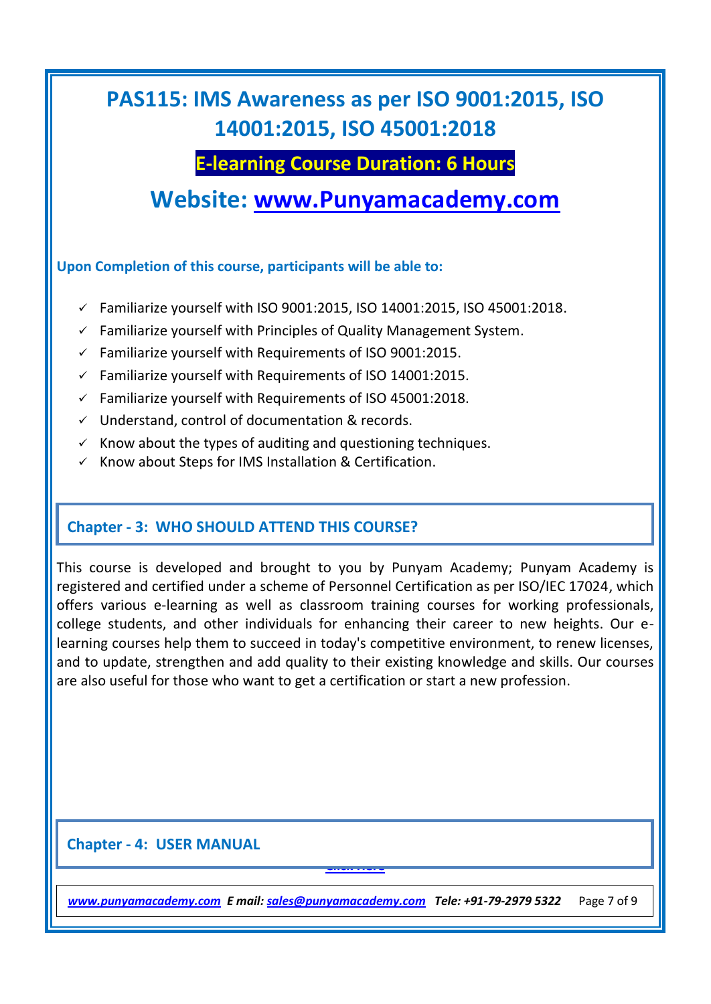### **E-learning Course Duration: 6 Hours**

**Website: [www.Punyamacademy.com](http://www.punyamacademy.com/)**

#### **Upon Completion of this course, participants will be able to:**

- $\checkmark$  Familiarize yourself with ISO 9001:2015, ISO 14001:2015, ISO 45001:2018.
- $\checkmark$  Familiarize yourself with Principles of Quality Management System.
- $\checkmark$  Familiarize yourself with Requirements of ISO 9001:2015.
- $\checkmark$  Familiarize yourself with Requirements of ISO 14001:2015.
- $\checkmark$  Familiarize yourself with Requirements of ISO 45001:2018.
- $\checkmark$  Understand, control of documentation & records.
- $\checkmark$  Know about the types of auditing and questioning techniques.
- $\checkmark$  Know about Steps for IMS Installation & Certification.

#### **Chapter - 3: WHO SHOULD ATTEND THIS COURSE?**

This course is developed and brought to you by Punyam Academy; Punyam Academy is registered and certified under a scheme of Personnel Certification as per ISO/IEC 17024, which offers various e-learning as well as classroom training courses for working professionals, college students, and other individuals for enhancing their career to new heights. Our elearning courses help them to succeed in today's competitive environment, to renew licenses, and to update, strengthen and add quality to their existing knowledge and skills. Our courses are also useful for those who want to get a certification or start a new profession.

### **For More<sub>r</sub>**  $\blacksquare$  **<b>Chapter - 4:** USER MANUAL

**[Click Here](https://www.punyamacademy.com/course/hse/ims-awareness-training-online)**

*[www.punyamacademy.com](https://www.punyamacademy.com/) E mail[: sales@punyamacademy.com](mailto:sales@punyamacademy.com) Tele: +91-79-2979 5322* Page 7 of 9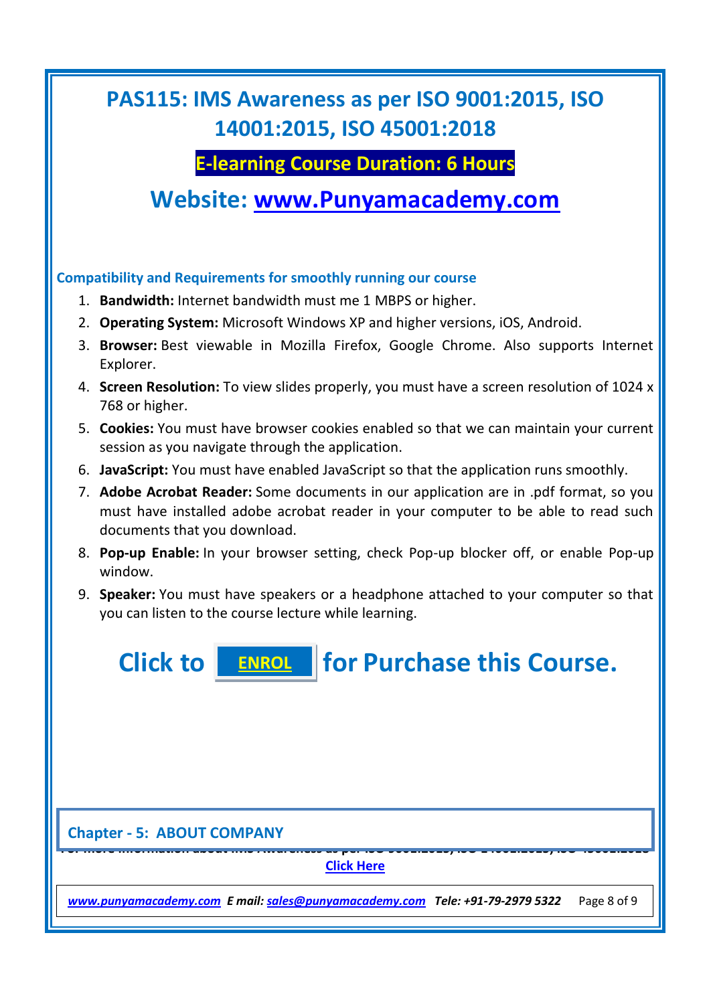### **E-learning Course Duration: 6 Hours**

**Website: [www.Punyamacademy.com](http://www.punyamacademy.com/)**

#### **Compatibility and Requirements for smoothly running our course**

- 1. **Bandwidth:** Internet bandwidth must me 1 MBPS or higher.
- 2. **Operating System:** Microsoft Windows XP and higher versions, iOS, Android.
- 3. **Browser:** Best viewable in Mozilla Firefox, Google Chrome. Also supports Internet Explorer.
- 4. **Screen Resolution:** To view slides properly, you must have a screen resolution of 1024 x 768 or higher.
- 5. **Cookies:** You must have browser cookies enabled so that we can maintain your current session as you navigate through the application.
- 6. **JavaScript:** You must have enabled JavaScript so that the application runs smoothly.
- 7. **Adobe Acrobat Reader:** Some documents in our application are in .pdf format, so you must have installed adobe acrobat reader in your computer to be able to read such documents that you download.
- 8. **Pop-up Enable:** In your browser setting, check Pop-up blocker off, or enable Pop-up window.
- 9. **Speaker:** You must have speakers or a headphone attached to your computer so that you can listen to the course lecture while learning.

 **Click to ENROL | for Purchase this Course.** 

**Chapter - 5: ABOUT COMPANY**

**For more information about IMS Awareness as per ISO 9001:2015, ISO 14001:2015, ISO 45001:2018 [Click Here](https://www.punyamacademy.com/course/hse/ims-awareness-training-online)**

*[www.punyamacademy.com](https://www.punyamacademy.com/) E mail[: sales@punyamacademy.com](mailto:sales@punyamacademy.com) Tele: +91-79-2979 5322* Page 8 of 9